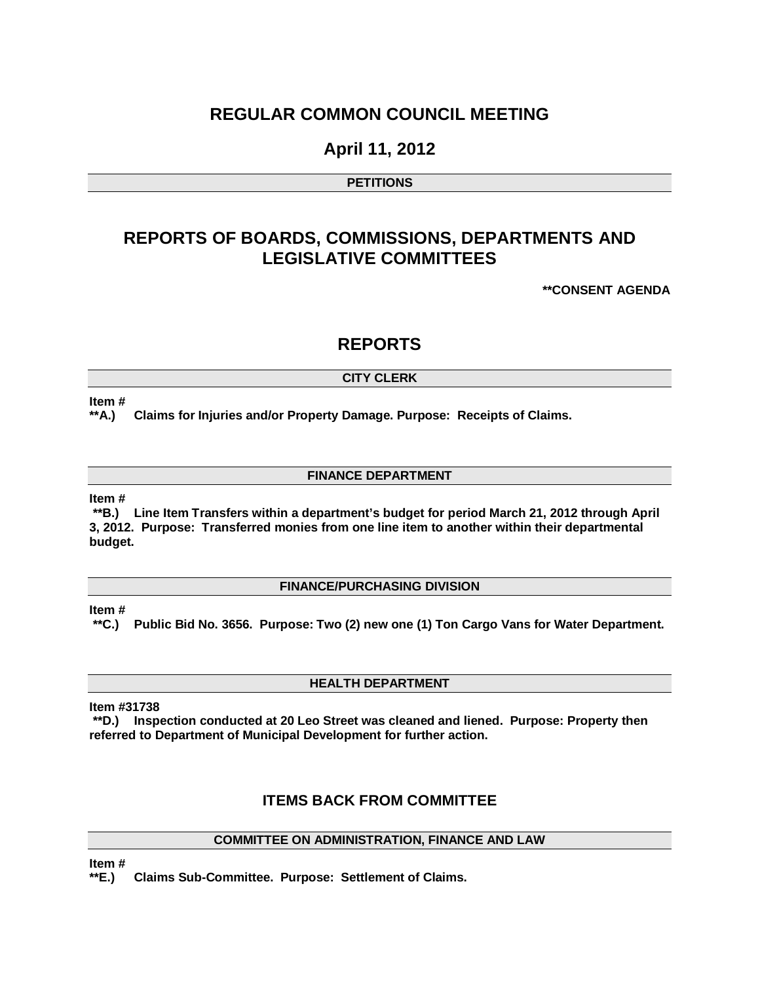### **REGULAR COMMON COUNCIL MEETING**

### **April 11, 2012**

#### **PETITIONS**

## **REPORTS OF BOARDS, COMMISSIONS, DEPARTMENTS AND LEGISLATIVE COMMITTEES**

**\*\*CONSENT AGENDA**

### **REPORTS**

#### **CITY CLERK**

#### **Item #**

**\*\*A.) Claims for Injuries and/or Property Damage. Purpose: Receipts of Claims.**

#### **FINANCE DEPARTMENT**

#### **Item #**

**\*\*B.) Line Item Transfers within a department's budget for period March 21, 2012 through April 3, 2012. Purpose: Transferred monies from one line item to another within their departmental budget.** 

#### **FINANCE/PURCHASING DIVISION**

**Item #**

**\*\*C.) Public Bid No. 3656. Purpose: Two (2) new one (1) Ton Cargo Vans for Water Department.**

#### **HEALTH DEPARTMENT**

**Item #31738**

**\*\*D.) Inspection conducted at 20 Leo Street was cleaned and liened. Purpose: Property then referred to Department of Municipal Development for further action.** 

### **ITEMS BACK FROM COMMITTEE**

#### **COMMITTEE ON ADMINISTRATION, FINANCE AND LAW**

**Item #**

**\*\*E.) Claims Sub-Committee. Purpose: Settlement of Claims.**